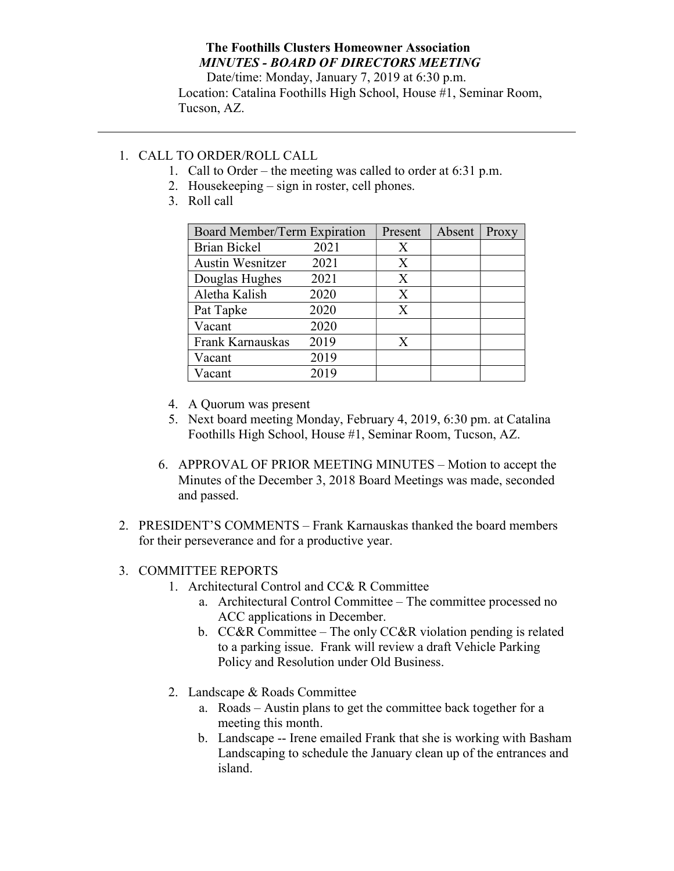## The Foothills Clusters Homeowner Association MINUTES - BOARD OF DIRECTORS MEETING

Date/time: Monday, January 7, 2019 at 6:30 p.m. Location: Catalina Foothills High School, House #1, Seminar Room, Tucson, AZ.

## 1. CALL TO ORDER/ROLL CALL

- 1. Call to Order the meeting was called to order at 6:31 p.m.
- 2. Housekeeping sign in roster, cell phones.
- 3. Roll call

| Board Member/Term Expiration |      | Present | Absent | Proxy |
|------------------------------|------|---------|--------|-------|
| <b>Brian Bickel</b>          | 2021 | Χ       |        |       |
| <b>Austin Wesnitzer</b>      | 2021 | X       |        |       |
| Douglas Hughes               | 2021 | X       |        |       |
| Aletha Kalish                | 2020 | X       |        |       |
| Pat Tapke                    | 2020 | X       |        |       |
| Vacant                       | 2020 |         |        |       |
| Frank Karnauskas             | 2019 | X       |        |       |
| Vacant                       | 2019 |         |        |       |
| Vacant                       | 2019 |         |        |       |

- 4. A Quorum was present
- 5. Next board meeting Monday, February 4, 2019, 6:30 pm. at Catalina Foothills High School, House #1, Seminar Room, Tucson, AZ.
- 6. APPROVAL OF PRIOR MEETING MINUTES Motion to accept the Minutes of the December 3, 2018 Board Meetings was made, seconded and passed.
- 2. PRESIDENT'S COMMENTS Frank Karnauskas thanked the board members for their perseverance and for a productive year.

## 3. COMMITTEE REPORTS

- 1. Architectural Control and CC& R Committee
	- a. Architectural Control Committee The committee processed no ACC applications in December.
	- b. CC&R Committee The only CC&R violation pending is related to a parking issue. Frank will review a draft Vehicle Parking Policy and Resolution under Old Business.
- 2. Landscape & Roads Committee
	- a. Roads Austin plans to get the committee back together for a meeting this month.
	- b. Landscape -- Irene emailed Frank that she is working with Basham Landscaping to schedule the January clean up of the entrances and island.